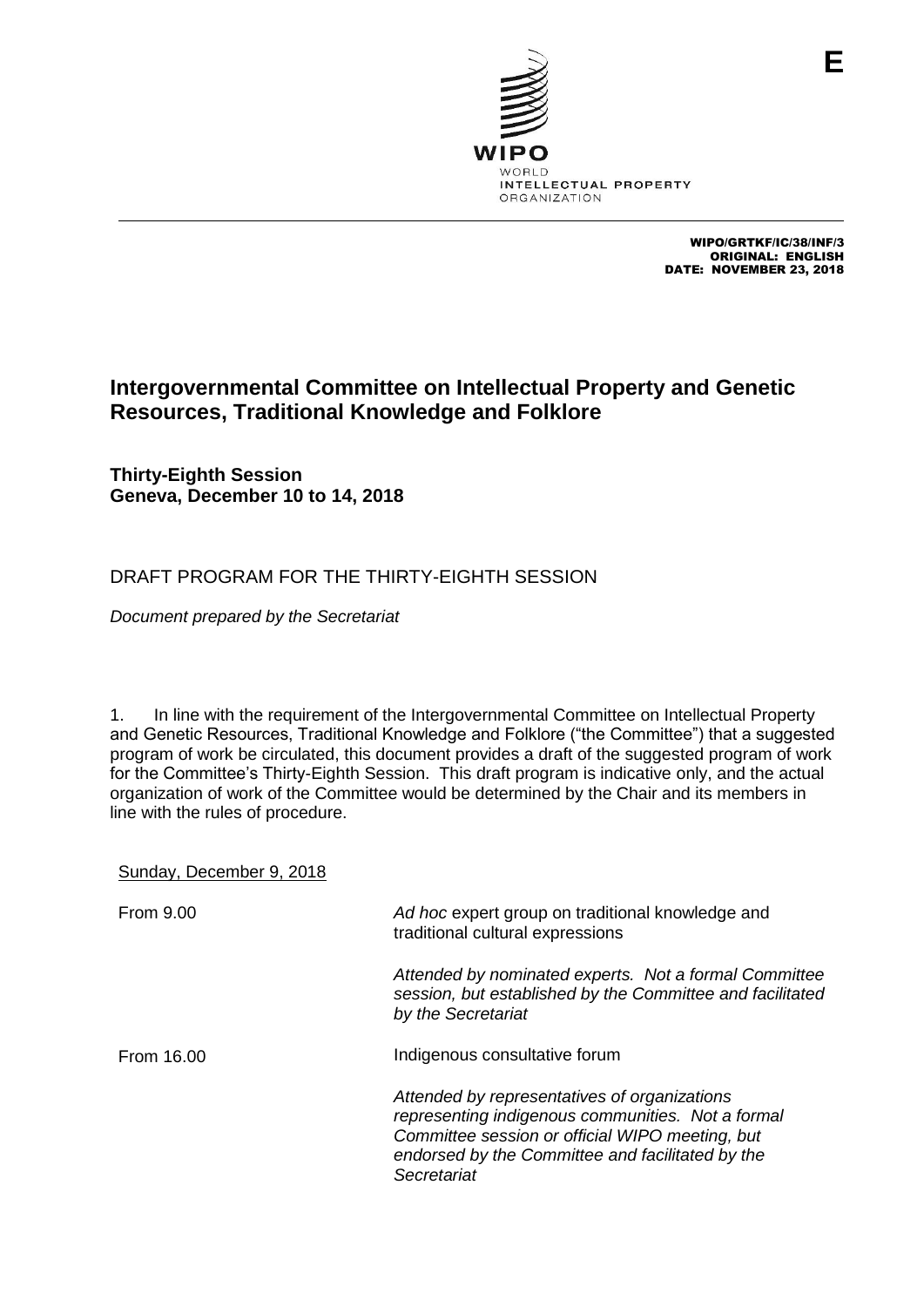

WIPO/GRTKF/IC/38/INF/3 ORIGINAL: ENGLISH DATE: NOVEMBER 23, 2018

## **Intergovernmental Committee on Intellectual Property and Genetic Resources, Traditional Knowledge and Folklore**

**Thirty-Eighth Session Geneva, December 10 to 14, 2018**

## DRAFT PROGRAM FOR THE THIRTY-EIGHTH SESSION

*Document prepared by the Secretariat*

1. In line with the requirement of the Intergovernmental Committee on Intellectual Property and Genetic Resources, Traditional Knowledge and Folklore ("the Committee") that a suggested program of work be circulated, this document provides a draft of the suggested program of work for the Committee's Thirty-Eighth Session. This draft program is indicative only, and the actual organization of work of the Committee would be determined by the Chair and its members in line with the rules of procedure.

## Sunday, December 9, 2018

| <b>From 9.00</b> | Ad hoc expert group on traditional knowledge and<br>traditional cultural expressions                                                                                                                                    |  |
|------------------|-------------------------------------------------------------------------------------------------------------------------------------------------------------------------------------------------------------------------|--|
|                  | Attended by nominated experts. Not a formal Committee<br>session, but established by the Committee and facilitated<br>by the Secretariat                                                                                |  |
| From 16.00       | Indigenous consultative forum                                                                                                                                                                                           |  |
|                  | Attended by representatives of organizations<br>representing indigenous communities. Not a formal<br>Committee session or official WIPO meeting, but<br>endorsed by the Committee and facilitated by the<br>Secretariat |  |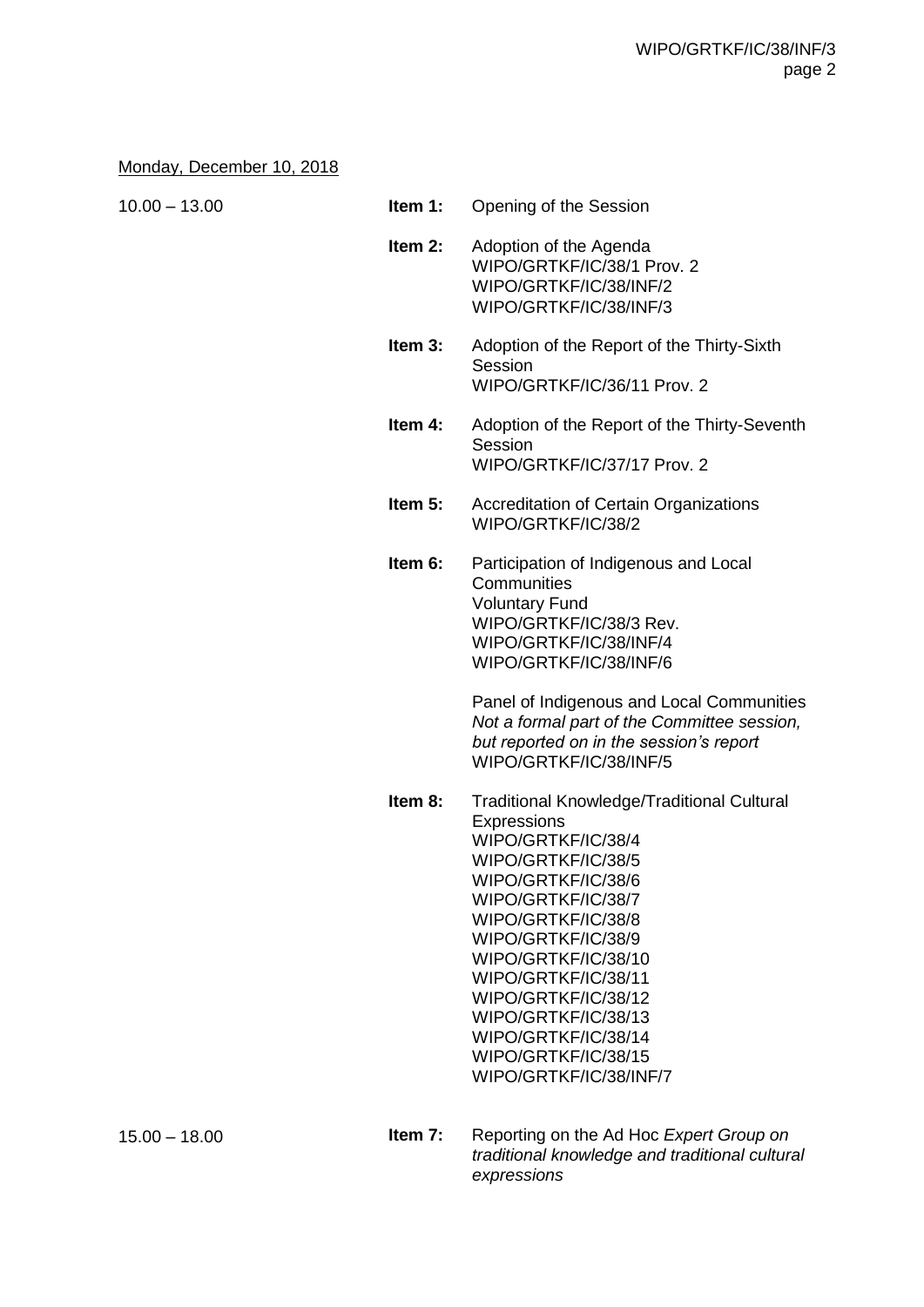## Monday, December 10, 2018

| $10.00 - 13.00$ | Item 1:   | Opening of the Session                                                                                                                                                                                                                                                                                                                                                   |
|-----------------|-----------|--------------------------------------------------------------------------------------------------------------------------------------------------------------------------------------------------------------------------------------------------------------------------------------------------------------------------------------------------------------------------|
|                 | Item 2:   | Adoption of the Agenda<br>WIPO/GRTKF/IC/38/1 Prov. 2<br>WIPO/GRTKF/IC/38/INF/2<br>WIPO/GRTKF/IC/38/INF/3                                                                                                                                                                                                                                                                 |
|                 | Item 3:   | Adoption of the Report of the Thirty-Sixth<br>Session<br>WIPO/GRTKF/IC/36/11 Prov. 2                                                                                                                                                                                                                                                                                     |
|                 | Item 4:   | Adoption of the Report of the Thirty-Seventh<br>Session<br>WIPO/GRTKF/IC/37/17 Prov. 2                                                                                                                                                                                                                                                                                   |
|                 | Item $5:$ | Accreditation of Certain Organizations<br>WIPO/GRTKF/IC/38/2                                                                                                                                                                                                                                                                                                             |
|                 | Item 6:   | Participation of Indigenous and Local<br>Communities<br><b>Voluntary Fund</b><br>WIPO/GRTKF/IC/38/3 Rev.<br>WIPO/GRTKF/IC/38/INF/4<br>WIPO/GRTKF/IC/38/INF/6<br>Panel of Indigenous and Local Communities<br>Not a formal part of the Committee session,<br>but reported on in the session's report<br>WIPO/GRTKF/IC/38/INF/5                                            |
|                 | Item 8:   | <b>Traditional Knowledge/Traditional Cultural</b><br>Expressions<br>WIPO/GRTKF/IC/38/4<br>WIPO/GRTKF/IC/38/5<br>WIPO/GRTKF/IC/38/6<br>WIPO/GRTKF/IC/38/7<br>WIPO/GRTKF/IC/38/8<br>WIPO/GRTKF/IC/38/9<br>WIPO/GRTKF/IC/38/10<br>WIPO/GRTKF/IC/38/11<br>WIPO/GRTKF/IC/38/12<br>WIPO/GRTKF/IC/38/13<br>WIPO/GRTKF/IC/38/14<br>WIPO/GRTKF/IC/38/15<br>WIPO/GRTKF/IC/38/INF/7 |
| $15.00 - 18.00$ | Item 7:   | Reporting on the Ad Hoc Expert Group on                                                                                                                                                                                                                                                                                                                                  |

*traditional knowledge and traditional cultural expressions*